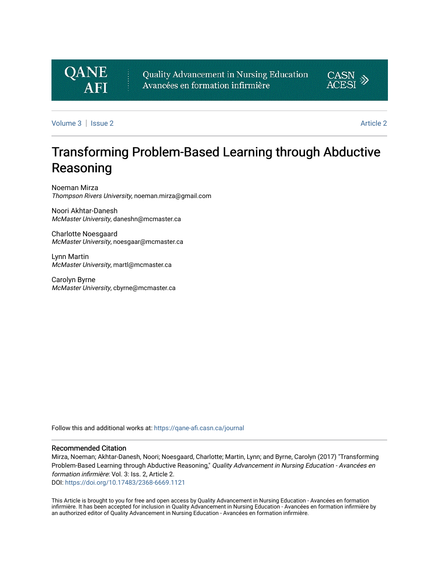## **QANE AFI**

Quality Advancement in Nursing Education Avancées en formation infirmière



[Volume 3](https://qane-afi.casn.ca/journal/vol3) | [Issue 2](https://qane-afi.casn.ca/journal/vol3/iss2) [Article 2](https://qane-afi.casn.ca/journal/vol3/iss2/2) Article 2 Article 2 Article 2 Article 2 Article 2 Article 2 Article 2 Article 2 A

# Transforming Problem-Based Learning through Abductive Reasoning

Noeman Mirza Thompson Rivers University, noeman.mirza@gmail.com

Noori Akhtar-Danesh McMaster University, daneshn@mcmaster.ca

Charlotte Noesgaard McMaster University, noesgaar@mcmaster.ca

Lynn Martin McMaster University, martl@mcmaster.ca

Carolyn Byrne McMaster University, cbyrne@mcmaster.ca

Follow this and additional works at: [https://qane-afi.casn.ca/journal](https://qane-afi.casn.ca/journal?utm_source=qane-afi.casn.ca%2Fjournal%2Fvol3%2Fiss2%2F2&utm_medium=PDF&utm_campaign=PDFCoverPages) 

#### Recommended Citation

Mirza, Noeman; Akhtar-Danesh, Noori; Noesgaard, Charlotte; Martin, Lynn; and Byrne, Carolyn (2017) "Transforming Problem-Based Learning through Abductive Reasoning," Quality Advancement in Nursing Education - Avancées en formation infirmière: Vol. 3: Iss. 2, Article 2.

DOI: <https://doi.org/10.17483/2368-6669.1121>

This Article is brought to you for free and open access by Quality Advancement in Nursing Education - Avancées en formation infirmière. It has been accepted for inclusion in Quality Advancement in Nursing Education - Avancées en formation infirmière by an authorized editor of Quality Advancement in Nursing Education - Avancées en formation infirmière.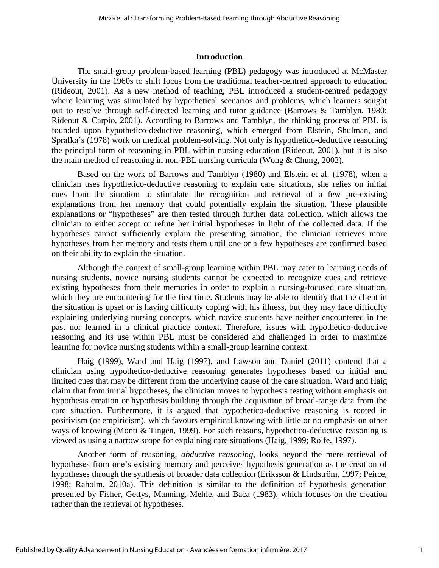#### **Introduction**

The small-group problem-based learning (PBL) pedagogy was introduced at McMaster University in the 1960s to shift focus from the traditional teacher-centred approach to education (Rideout, 2001). As a new method of teaching, PBL introduced a student-centred pedagogy where learning was stimulated by hypothetical scenarios and problems, which learners sought out to resolve through self-directed learning and tutor guidance (Barrows & Tamblyn, 1980; Rideout & Carpio, 2001). According to Barrows and Tamblyn, the thinking process of PBL is founded upon hypothetico-deductive reasoning, which emerged from Elstein, Shulman, and Sprafka's (1978) work on medical problem-solving. Not only is hypothetico-deductive reasoning the principal form of reasoning in PBL within nursing education (Rideout, 2001), but it is also the main method of reasoning in non-PBL nursing curricula (Wong & Chung, 2002).

Based on the work of Barrows and Tamblyn (1980) and Elstein et al. (1978), when a clinician uses hypothetico-deductive reasoning to explain care situations, she relies on initial cues from the situation to stimulate the recognition and retrieval of a few pre-existing explanations from her memory that could potentially explain the situation. These plausible explanations or "hypotheses" are then tested through further data collection, which allows the clinician to either accept or refute her initial hypotheses in light of the collected data. If the hypotheses cannot sufficiently explain the presenting situation, the clinician retrieves more hypotheses from her memory and tests them until one or a few hypotheses are confirmed based on their ability to explain the situation.

Although the context of small-group learning within PBL may cater to learning needs of nursing students, novice nursing students cannot be expected to recognize cues and retrieve existing hypotheses from their memories in order to explain a nursing-focused care situation, which they are encountering for the first time. Students may be able to identify that the client in the situation is upset or is having difficulty coping with his illness, but they may face difficulty explaining underlying nursing concepts, which novice students have neither encountered in the past nor learned in a clinical practice context. Therefore, issues with hypothetico-deductive reasoning and its use within PBL must be considered and challenged in order to maximize learning for novice nursing students within a small-group learning context.

Haig (1999), Ward and Haig (1997), and Lawson and Daniel (2011) contend that a clinician using hypothetico-deductive reasoning generates hypotheses based on initial and limited cues that may be different from the underlying cause of the care situation. Ward and Haig claim that from initial hypotheses, the clinician moves to hypothesis testing without emphasis on hypothesis creation or hypothesis building through the acquisition of broad-range data from the care situation. Furthermore, it is argued that hypothetico-deductive reasoning is rooted in positivism (or empiricism), which favours empirical knowing with little or no emphasis on other ways of knowing (Monti & Tingen, 1999). For such reasons, hypothetico-deductive reasoning is viewed as using a narrow scope for explaining care situations (Haig, 1999; Rolfe, 1997).

Another form of reasoning, *abductive reasoning*, looks beyond the mere retrieval of hypotheses from one's existing memory and perceives hypothesis generation as the creation of hypotheses through the synthesis of broader data collection (Eriksson & Lindström, 1997; Peirce, 1998; Raholm, 2010a). This definition is similar to the definition of hypothesis generation presented by Fisher, Gettys, Manning, Mehle, and Baca (1983), which focuses on the creation rather than the retrieval of hypotheses.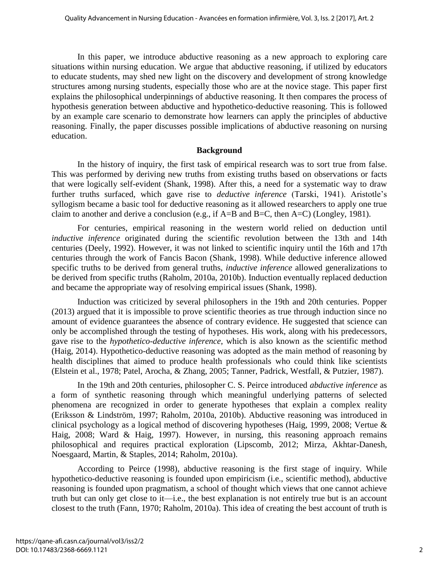In this paper, we introduce abductive reasoning as a new approach to exploring care situations within nursing education. We argue that abductive reasoning, if utilized by educators to educate students, may shed new light on the discovery and development of strong knowledge structures among nursing students, especially those who are at the novice stage. This paper first explains the philosophical underpinnings of abductive reasoning. It then compares the process of hypothesis generation between abductive and hypothetico-deductive reasoning. This is followed by an example care scenario to demonstrate how learners can apply the principles of abductive reasoning. Finally, the paper discusses possible implications of abductive reasoning on nursing education.

#### **Background**

In the history of inquiry, the first task of empirical research was to sort true from false. This was performed by deriving new truths from existing truths based on observations or facts that were logically self-evident (Shank, 1998). After this, a need for a systematic way to draw further truths surfaced, which gave rise to *deductive inference* (Tarski, 1941). Aristotle's syllogism became a basic tool for deductive reasoning as it allowed researchers to apply one true claim to another and derive a conclusion (e.g., if A=B and B=C, then A=C) (Longley, 1981).

For centuries, empirical reasoning in the western world relied on deduction until *inductive inference* originated during the scientific revolution between the 13th and 14th centuries (Deely, 1992). However, it was not linked to scientific inquiry until the 16th and 17th centuries through the work of Fancis Bacon (Shank, 1998). While deductive inference allowed specific truths to be derived from general truths, *inductive inference* allowed generalizations to be derived from specific truths (Raholm, 2010a, 2010b). Induction eventually replaced deduction and became the appropriate way of resolving empirical issues (Shank, 1998).

Induction was criticized by several philosophers in the 19th and 20th centuries. Popper (2013) argued that it is impossible to prove scientific theories as true through induction since no amount of evidence guarantees the absence of contrary evidence. He suggested that science can only be accomplished through the testing of hypotheses. His work, along with his predecessors, gave rise to the *hypothetico-deductive inference*, which is also known as the scientific method (Haig, 2014). Hypothetico-deductive reasoning was adopted as the main method of reasoning by health disciplines that aimed to produce health professionals who could think like scientists (Elstein et al., 1978; Patel, Arocha, & Zhang, 2005; Tanner, Padrick, Westfall, & Putzier, 1987).

In the 19th and 20th centuries, philosopher C. S. Peirce introduced *abductive inference* as a form of synthetic reasoning through which meaningful underlying patterns of selected phenomena are recognized in order to generate hypotheses that explain a complex reality (Eriksson & Lindström, 1997; Raholm, 2010a, 2010b). Abductive reasoning was introduced in clinical psychology as a logical method of discovering hypotheses (Haig, 1999, 2008; Vertue & Haig, 2008; Ward & Haig, 1997). However, in nursing, this reasoning approach remains philosophical and requires practical exploration (Lipscomb, 2012; Mirza, Akhtar-Danesh, Noesgaard, Martin, & Staples, 2014; Raholm, 2010a).

According to Peirce (1998), abductive reasoning is the first stage of inquiry. While hypothetico-deductive reasoning is founded upon empiricism (i.e., scientific method), abductive reasoning is founded upon pragmatism, a school of thought which views that one cannot achieve truth but can only get close to it—i.e., the best explanation is not entirely true but is an account closest to the truth (Fann, 1970; Raholm, 2010a). This idea of creating the best account of truth is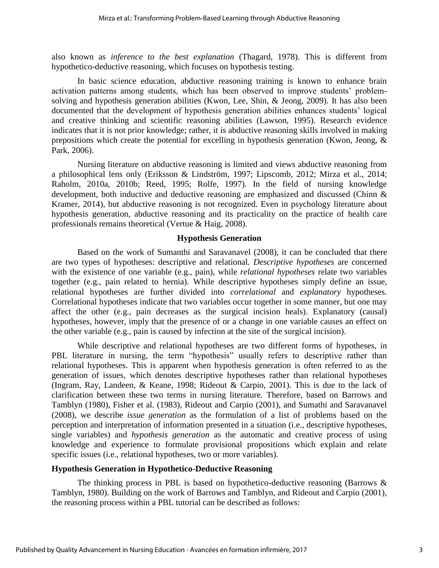also known as *inference to the best explanation* (Thagard, 1978). This is different from hypothetico-deductive reasoning, which focuses on hypothesis testing.

In basic science education, abductive reasoning training is known to enhance brain activation patterns among students, which has been observed to improve students' problemsolving and hypothesis generation abilities (Kwon, Lee, Shin, & Jeong, 2009). It has also been documented that the development of hypothesis generation abilities enhances students' logical and creative thinking and scientific reasoning abilities (Lawson, 1995). Research evidence indicates that it is not prior knowledge; rather, it is abductive reasoning skills involved in making prepositions which create the potential for excelling in hypothesis generation (Kwon, Jeong, & Park, 2006).

Nursing literature on abductive reasoning is limited and views abductive reasoning from a philosophical lens only (Eriksson & Lindström, 1997; Lipscomb, 2012; Mirza et al., 2014; Raholm, 2010a, 2010b; Reed, 1995; Rolfe, 1997). In the field of nursing knowledge development, both inductive and deductive reasoning are emphasized and discussed (Chinn & Kramer, 2014), but abductive reasoning is not recognized. Even in psychology literature about hypothesis generation, abductive reasoning and its practicality on the practice of health care professionals remains theoretical (Vertue & Haig, 2008).

#### **Hypothesis Generation**

Based on the work of Sumanthi and Saravanavel (2008), it can be concluded that there are two types of hypotheses: descriptive and relational. *Descriptive hypotheses* are concerned with the existence of one variable (e.g., pain), while *relational hypotheses* relate two variables together (e.g., pain related to hernia). While descriptive hypotheses simply define an issue, relational hypotheses are further divided into *correlational* and *explanatory* hypotheses. Correlational hypotheses indicate that two variables occur together in some manner, but one may affect the other (e.g., pain decreases as the surgical incision heals). Explanatory (causal) hypotheses, however, imply that the presence of or a change in one variable causes an effect on the other variable (e.g., pain is caused by infection at the site of the surgical incision).

While descriptive and relational hypotheses are two different forms of hypotheses, in PBL literature in nursing, the term "hypothesis" usually refers to descriptive rather than relational hypotheses. This is apparent when hypothesis generation is often referred to as the generation of issues, which denotes descriptive hypotheses rather than relational hypotheses (Ingram, Ray, Landeen, & Keane, 1998; Rideout & Carpio, 2001). This is due to the lack of clarification between these two terms in nursing literature. Therefore, based on Barrows and Tamblyn (1980), Fisher et al. (1983), Rideout and Carpio (2001), and Sumathi and Saravanavel (2008), we describe *issue generation* as the formulation of a list of problems based on the perception and interpretation of information presented in a situation (i.e., descriptive hypotheses, single variables) and *hypothesis generation* as the automatic and creative process of using knowledge and experience to formulate provisional propositions which explain and relate specific issues (i.e., relational hypotheses, two or more variables).

#### **Hypothesis Generation in Hypothetico-Deductive Reasoning**

The thinking process in PBL is based on hypothetico-deductive reasoning (Barrows  $\&$ Tamblyn, 1980). Building on the work of Barrows and Tamblyn, and Rideout and Carpio (2001), the reasoning process within a PBL tutorial can be described as follows: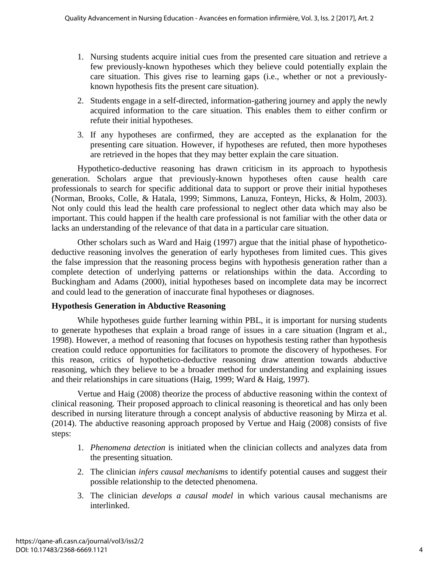- 1. Nursing students acquire initial cues from the presented care situation and retrieve a few previously-known hypotheses which they believe could potentially explain the care situation. This gives rise to learning gaps (i.e., whether or not a previouslyknown hypothesis fits the present care situation).
- 2. Students engage in a self-directed, information-gathering journey and apply the newly acquired information to the care situation. This enables them to either confirm or refute their initial hypotheses.
- 3. If any hypotheses are confirmed, they are accepted as the explanation for the presenting care situation. However, if hypotheses are refuted, then more hypotheses are retrieved in the hopes that they may better explain the care situation.

Hypothetico-deductive reasoning has drawn criticism in its approach to hypothesis generation. Scholars argue that previously-known hypotheses often cause health care professionals to search for specific additional data to support or prove their initial hypotheses (Norman, Brooks, Colle, & Hatala, 1999; Simmons, Lanuza, Fonteyn, Hicks, & Holm, 2003). Not only could this lead the health care professional to neglect other data which may also be important. This could happen if the health care professional is not familiar with the other data or lacks an understanding of the relevance of that data in a particular care situation.

Other scholars such as Ward and Haig (1997) argue that the initial phase of hypotheticodeductive reasoning involves the generation of early hypotheses from limited cues. This gives the false impression that the reasoning process begins with hypothesis generation rather than a complete detection of underlying patterns or relationships within the data. According to Buckingham and Adams (2000), initial hypotheses based on incomplete data may be incorrect and could lead to the generation of inaccurate final hypotheses or diagnoses.

## **Hypothesis Generation in Abductive Reasoning**

While hypotheses guide further learning within PBL, it is important for nursing students to generate hypotheses that explain a broad range of issues in a care situation (Ingram et al., 1998). However, a method of reasoning that focuses on hypothesis testing rather than hypothesis creation could reduce opportunities for facilitators to promote the discovery of hypotheses. For this reason, critics of hypothetico-deductive reasoning draw attention towards abductive reasoning, which they believe to be a broader method for understanding and explaining issues and their relationships in care situations (Haig, 1999; Ward & Haig, 1997).

Vertue and Haig (2008) theorize the process of abductive reasoning within the context of clinical reasoning. Their proposed approach to clinical reasoning is theoretical and has only been described in nursing literature through a concept analysis of abductive reasoning by Mirza et al. (2014). The abductive reasoning approach proposed by Vertue and Haig (2008) consists of five steps:

- 1. *Phenomena detection* is initiated when the clinician collects and analyzes data from the presenting situation.
- 2. The clinician *infers causal mechanisms* to identify potential causes and suggest their possible relationship to the detected phenomena.
- 3. The clinician *develops a causal model* in which various causal mechanisms are interlinked.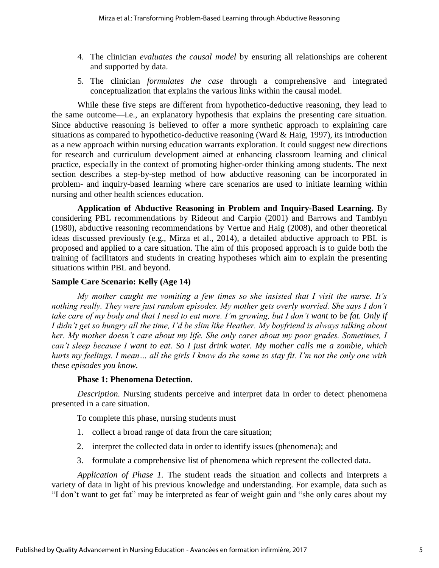- 4. The clinician *evaluates the causal model* by ensuring all relationships are coherent and supported by data.
- 5. The clinician *formulates the case* through a comprehensive and integrated conceptualization that explains the various links within the causal model.

While these five steps are different from hypothetico-deductive reasoning, they lead to the same outcome—i.e., an explanatory hypothesis that explains the presenting care situation. Since abductive reasoning is believed to offer a more synthetic approach to explaining care situations as compared to hypothetico-deductive reasoning (Ward & Haig, 1997), its introduction as a new approach within nursing education warrants exploration. It could suggest new directions for research and curriculum development aimed at enhancing classroom learning and clinical practice, especially in the context of promoting higher-order thinking among students. The next section describes a step-by-step method of how abductive reasoning can be incorporated in problem- and inquiry-based learning where care scenarios are used to initiate learning within nursing and other health sciences education.

**Application of Abductive Reasoning in Problem and Inquiry-Based Learning.** By considering PBL recommendations by Rideout and Carpio (2001) and Barrows and Tamblyn (1980), abductive reasoning recommendations by Vertue and Haig (2008), and other theoretical ideas discussed previously (e.g., Mirza et al., 2014), a detailed abductive approach to PBL is proposed and applied to a care situation. The aim of this proposed approach is to guide both the training of facilitators and students in creating hypotheses which aim to explain the presenting situations within PBL and beyond.

### **Sample Care Scenario: Kelly (Age 14)**

*My mother caught me vomiting a few times so she insisted that I visit the nurse. It's nothing really. They were just random episodes. My mother gets overly worried. She says I don't take care of my body and that I need to eat more. I'm growing, but I don't want to be fat. Only if I didn't get so hungry all the time, I'd be slim like Heather. My boyfriend is always talking about her. My mother doesn't care about my life. She only cares about my poor grades. Sometimes, I can't sleep because I want to eat. So I just drink water. My mother calls me a zombie, which hurts my feelings. I mean… all the girls I know do the same to stay fit. I'm not the only one with these episodes you know.*

#### **Phase 1: Phenomena Detection.**

*Description.* Nursing students perceive and interpret data in order to detect phenomena presented in a care situation.

To complete this phase, nursing students must

- 1. collect a broad range of data from the care situation;
- 2. interpret the collected data in order to identify issues (phenomena); and
- 3. formulate a comprehensive list of phenomena which represent the collected data.

*Application of Phase 1.* The student reads the situation and collects and interprets a variety of data in light of his previous knowledge and understanding. For example, data such as "I don't want to get fat" may be interpreted as fear of weight gain and "she only cares about my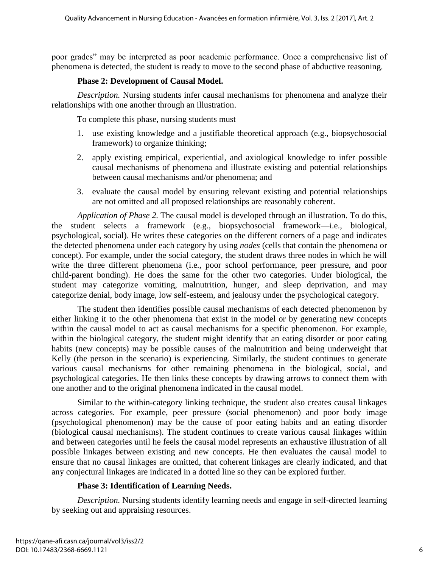poor grades" may be interpreted as poor academic performance. Once a comprehensive list of phenomena is detected, the student is ready to move to the second phase of abductive reasoning.

### **Phase 2: Development of Causal Model.**

*Description.* Nursing students infer causal mechanisms for phenomena and analyze their relationships with one another through an illustration.

To complete this phase, nursing students must

- 1. use existing knowledge and a justifiable theoretical approach (e.g., biopsychosocial framework) to organize thinking;
- 2. apply existing empirical, experiential, and axiological knowledge to infer possible causal mechanisms of phenomena and illustrate existing and potential relationships between causal mechanisms and/or phenomena; and
- 3. evaluate the causal model by ensuring relevant existing and potential relationships are not omitted and all proposed relationships are reasonably coherent.

*Application of Phase 2.* The causal model is developed through an illustration. To do this, the student selects a framework (e.g., biopsychosocial framework—i.e., biological, psychological, social). He writes these categories on the different corners of a page and indicates the detected phenomena under each category by using *nodes* (cells that contain the phenomena or concept). For example, under the social category, the student draws three nodes in which he will write the three different phenomena (i.e., poor school performance, peer pressure, and poor child-parent bonding). He does the same for the other two categories. Under biological, the student may categorize vomiting, malnutrition, hunger, and sleep deprivation, and may categorize denial, body image, low self-esteem, and jealousy under the psychological category.

The student then identifies possible causal mechanisms of each detected phenomenon by either linking it to the other phenomena that exist in the model or by generating new concepts within the causal model to act as causal mechanisms for a specific phenomenon. For example, within the biological category, the student might identify that an eating disorder or poor eating habits (new concepts) may be possible causes of the malnutrition and being underweight that Kelly (the person in the scenario) is experiencing. Similarly, the student continues to generate various causal mechanisms for other remaining phenomena in the biological, social, and psychological categories. He then links these concepts by drawing arrows to connect them with one another and to the original phenomena indicated in the causal model.

Similar to the within-category linking technique, the student also creates causal linkages across categories. For example, peer pressure (social phenomenon) and poor body image (psychological phenomenon) may be the cause of poor eating habits and an eating disorder (biological causal mechanisms). The student continues to create various causal linkages within and between categories until he feels the causal model represents an exhaustive illustration of all possible linkages between existing and new concepts. He then evaluates the causal model to ensure that no causal linkages are omitted, that coherent linkages are clearly indicated, and that any conjectural linkages are indicated in a dotted line so they can be explored further.

## **Phase 3: Identification of Learning Needs.**

*Description.* Nursing students identify learning needs and engage in self-directed learning by seeking out and appraising resources.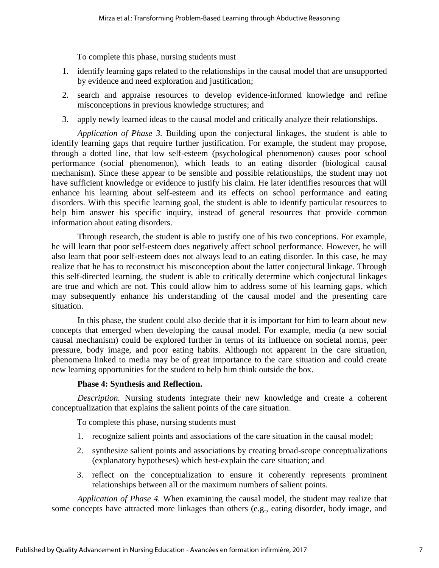To complete this phase, nursing students must

- 1. identify learning gaps related to the relationships in the causal model that are unsupported by evidence and need exploration and justification;
- 2. search and appraise resources to develop evidence-informed knowledge and refine misconceptions in previous knowledge structures; and
- 3. apply newly learned ideas to the causal model and critically analyze their relationships.

*Application of Phase 3.* Building upon the conjectural linkages, the student is able to identify learning gaps that require further justification. For example, the student may propose, through a dotted line, that low self-esteem (psychological phenomenon) causes poor school performance (social phenomenon), which leads to an eating disorder (biological causal mechanism). Since these appear to be sensible and possible relationships, the student may not have sufficient knowledge or evidence to justify his claim. He later identifies resources that will enhance his learning about self-esteem and its effects on school performance and eating disorders. With this specific learning goal, the student is able to identify particular resources to help him answer his specific inquiry, instead of general resources that provide common information about eating disorders.

Through research, the student is able to justify one of his two conceptions. For example, he will learn that poor self-esteem does negatively affect school performance. However, he will also learn that poor self-esteem does not always lead to an eating disorder. In this case, he may realize that he has to reconstruct his misconception about the latter conjectural linkage. Through this self-directed learning, the student is able to critically determine which conjectural linkages are true and which are not. This could allow him to address some of his learning gaps, which may subsequently enhance his understanding of the causal model and the presenting care situation.

In this phase, the student could also decide that it is important for him to learn about new concepts that emerged when developing the causal model. For example, media (a new social causal mechanism) could be explored further in terms of its influence on societal norms, peer pressure, body image, and poor eating habits. Although not apparent in the care situation, phenomena linked to media may be of great importance to the care situation and could create new learning opportunities for the student to help him think outside the box.

#### **Phase 4: Synthesis and Reflection.**

*Description.* Nursing students integrate their new knowledge and create a coherent conceptualization that explains the salient points of the care situation.

To complete this phase, nursing students must

- 1. recognize salient points and associations of the care situation in the causal model;
- 2. synthesize salient points and associations by creating broad-scope conceptualizations (explanatory hypotheses) which best-explain the care situation; and
- 3. reflect on the conceptualization to ensure it coherently represents prominent relationships between all or the maximum numbers of salient points.

*Application of Phase 4.* When examining the causal model, the student may realize that some concepts have attracted more linkages than others (e.g., eating disorder, body image, and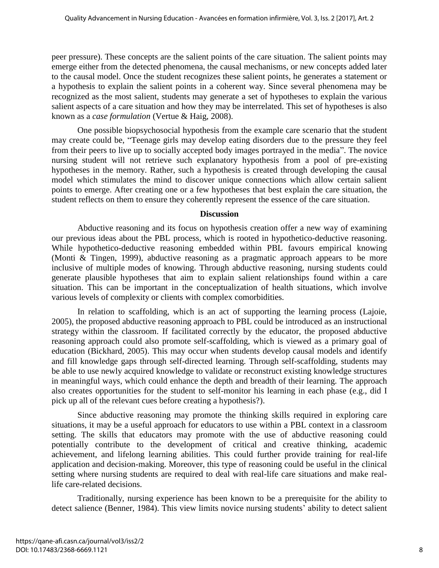peer pressure). These concepts are the salient points of the care situation. The salient points may emerge either from the detected phenomena, the causal mechanisms, or new concepts added later to the causal model. Once the student recognizes these salient points, he generates a statement or a hypothesis to explain the salient points in a coherent way. Since several phenomena may be recognized as the most salient, students may generate a set of hypotheses to explain the various salient aspects of a care situation and how they may be interrelated. This set of hypotheses is also known as a *case formulation* (Vertue & Haig, 2008).

One possible biopsychosocial hypothesis from the example care scenario that the student may create could be, "Teenage girls may develop eating disorders due to the pressure they feel from their peers to live up to socially accepted body images portrayed in the media". The novice nursing student will not retrieve such explanatory hypothesis from a pool of pre-existing hypotheses in the memory. Rather, such a hypothesis is created through developing the causal model which stimulates the mind to discover unique connections which allow certain salient points to emerge. After creating one or a few hypotheses that best explain the care situation, the student reflects on them to ensure they coherently represent the essence of the care situation.

#### **Discussion**

Abductive reasoning and its focus on hypothesis creation offer a new way of examining our previous ideas about the PBL process, which is rooted in hypothetico-deductive reasoning. While hypothetico-deductive reasoning embedded within PBL favours empirical knowing (Monti & Tingen, 1999), abductive reasoning as a pragmatic approach appears to be more inclusive of multiple modes of knowing. Through abductive reasoning, nursing students could generate plausible hypotheses that aim to explain salient relationships found within a care situation. This can be important in the conceptualization of health situations, which involve various levels of complexity or clients with complex comorbidities.

In relation to scaffolding, which is an act of supporting the learning process (Lajoie, 2005), the proposed abductive reasoning approach to PBL could be introduced as an instructional strategy within the classroom. If facilitated correctly by the educator, the proposed abductive reasoning approach could also promote self-scaffolding, which is viewed as a primary goal of education (Bickhard, 2005). This may occur when students develop causal models and identify and fill knowledge gaps through self-directed learning. Through self-scaffolding, students may be able to use newly acquired knowledge to validate or reconstruct existing knowledge structures in meaningful ways, which could enhance the depth and breadth of their learning. The approach also creates opportunities for the student to self-monitor his learning in each phase (e.g., did I pick up all of the relevant cues before creating a hypothesis?).

Since abductive reasoning may promote the thinking skills required in exploring care situations, it may be a useful approach for educators to use within a PBL context in a classroom setting. The skills that educators may promote with the use of abductive reasoning could potentially contribute to the development of critical and creative thinking, academic achievement, and lifelong learning abilities. This could further provide training for real-life application and decision-making. Moreover, this type of reasoning could be useful in the clinical setting where nursing students are required to deal with real-life care situations and make reallife care-related decisions.

Traditionally, nursing experience has been known to be a prerequisite for the ability to detect salience (Benner, 1984). This view limits novice nursing students' ability to detect salient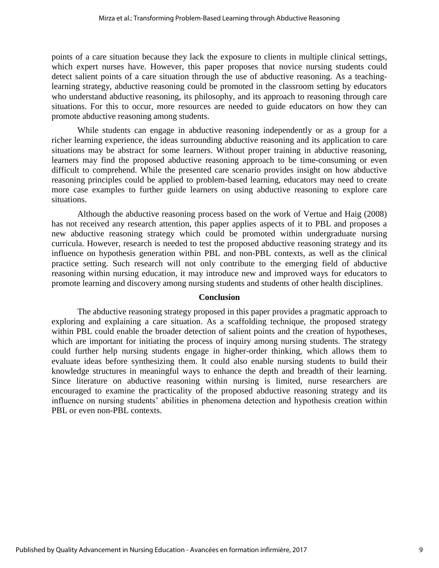points of a care situation because they lack the exposure to clients in multiple clinical settings, which expert nurses have. However, this paper proposes that novice nursing students could detect salient points of a care situation through the use of abductive reasoning. As a teachinglearning strategy, abductive reasoning could be promoted in the classroom setting by educators who understand abductive reasoning, its philosophy, and its approach to reasoning through care situations. For this to occur, more resources are needed to guide educators on how they can promote abductive reasoning among students.

While students can engage in abductive reasoning independently or as a group for a richer learning experience, the ideas surrounding abductive reasoning and its application to care situations may be abstract for some learners. Without proper training in abductive reasoning, learners may find the proposed abductive reasoning approach to be time-consuming or even difficult to comprehend. While the presented care scenario provides insight on how abductive reasoning principles could be applied to problem-based learning, educators may need to create more case examples to further guide learners on using abductive reasoning to explore care situations.

Although the abductive reasoning process based on the work of Vertue and Haig (2008) has not received any research attention, this paper applies aspects of it to PBL and proposes a new abductive reasoning strategy which could be promoted within undergraduate nursing curricula. However, research is needed to test the proposed abductive reasoning strategy and its influence on hypothesis generation within PBL and non-PBL contexts, as well as the clinical practice setting. Such research will not only contribute to the emerging field of abductive reasoning within nursing education, it may introduce new and improved ways for educators to promote learning and discovery among nursing students and students of other health disciplines.

#### **Conclusion**

The abductive reasoning strategy proposed in this paper provides a pragmatic approach to exploring and explaining a care situation. As a scaffolding technique, the proposed strategy within PBL could enable the broader detection of salient points and the creation of hypotheses, which are important for initiating the process of inquiry among nursing students. The strategy could further help nursing students engage in higher-order thinking, which allows them to evaluate ideas before synthesizing them. It could also enable nursing students to build their knowledge structures in meaningful ways to enhance the depth and breadth of their learning. Since literature on abductive reasoning within nursing is limited, nurse researchers are encouraged to examine the practicality of the proposed abductive reasoning strategy and its influence on nursing students' abilities in phenomena detection and hypothesis creation within PBL or even non-PBL contexts.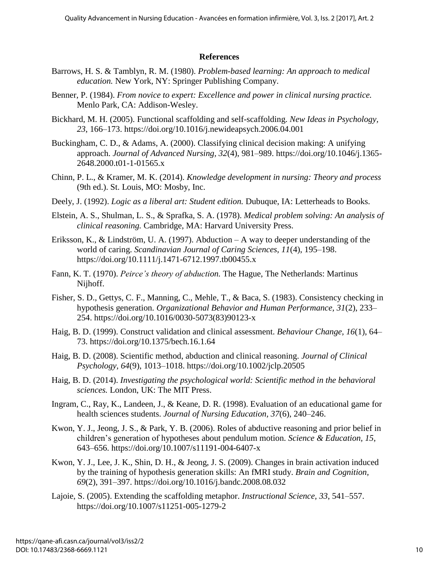### **References**

- Barrows, H. S. & Tamblyn, R. M. (1980). *Problem-based learning: An approach to medical education.* New York, NY: Springer Publishing Company.
- Benner, P. (1984). *From novice to expert: Excellence and power in clinical nursing practice.*  Menlo Park, CA: Addison-Wesley.
- Bickhard, M. H. (2005). Functional scaffolding and self-scaffolding. *New Ideas in Psychology, 23*, 166–173. https://doi.org/10.1016/j.newideapsych.2006.04.001
- Buckingham, C. D., & Adams, A. (2000). Classifying clinical decision making: A unifying approach. *Journal of Advanced Nursing, 32*(4), 981–989. https://doi.org/10.1046/j.1365- 2648.2000.t01-1-01565.x
- Chinn, P. L., & Kramer, M. K. (2014). *Knowledge development in nursing: Theory and process*  (9th ed.). St. Louis, MO: Mosby, Inc.
- Deely, J. (1992). *Logic as a liberal art: Student edition.* Dubuque, IA: Letterheads to Books.
- Elstein, A. S., Shulman, L. S., & Sprafka, S. A. (1978). *Medical problem solving: An analysis of clinical reasoning.* Cambridge, MA: Harvard University Press.
- Eriksson, K., & Lindström, U. A. (1997). Abduction  $-A$  way to deeper understanding of the world of caring. *Scandinavian Journal of Caring Sciences, 11*(4), 195–198. https://doi.org/10.1111/j.1471-6712.1997.tb00455.x
- Fann, K. T. (1970). *Peirce's theory of abduction.* The Hague, The Netherlands: Martinus Nijhoff.
- Fisher, S. D., Gettys, C. F., Manning, C., Mehle, T., & Baca, S. (1983). Consistency checking in hypothesis generation. *Organizational Behavior and Human Performance, 31*(2), 233– 254. https://doi.org/10.1016/0030-5073(83)90123-x
- Haig, B. D. (1999). Construct validation and clinical assessment. *Behaviour Change, 16*(1), 64– 73. https://doi.org/10.1375/bech.16.1.64
- Haig, B. D. (2008). Scientific method, abduction and clinical reasoning. *Journal of Clinical Psychology, 64*(9), 1013–1018. https://doi.org/10.1002/jclp.20505
- Haig, B. D. (2014). *Investigating the psychological world: Scientific method in the behavioral sciences.* London, UK: The MIT Press.
- Ingram, C., Ray, K., Landeen, J., & Keane, D. R. (1998). Evaluation of an educational game for health sciences students. *Journal of Nursing Education, 37*(6), 240–246.
- Kwon, Y. J., Jeong, J. S., & Park, Y. B. (2006). Roles of abductive reasoning and prior belief in children's generation of hypotheses about pendulum motion. *Science & Education, 15*, 643–656. https://doi.org/10.1007/s11191-004-6407-x
- Kwon, Y. J., Lee, J. K., Shin, D. H., & Jeong, J. S. (2009). Changes in brain activation induced by the training of hypothesis generation skills: An fMRI study. *Brain and Cognition, 69*(2), 391–397. https://doi.org/10.1016/j.bandc.2008.08.032
- Lajoie, S. (2005). Extending the scaffolding metaphor. *Instructional Science, 33*, 541–557. https://doi.org/10.1007/s11251-005-1279-2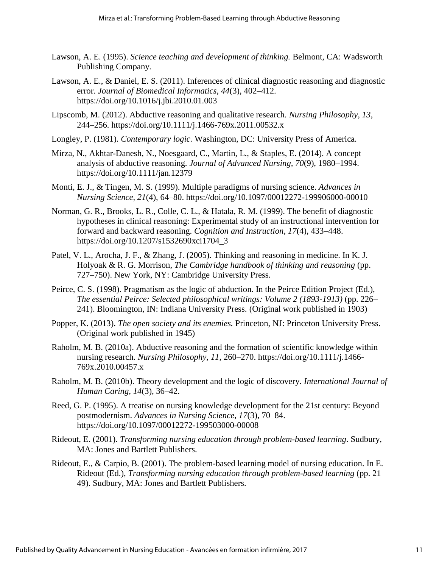- Lawson, A. E. (1995). *Science teaching and development of thinking.* Belmont, CA: Wadsworth Publishing Company.
- Lawson, A. E., & Daniel, E. S. (2011). Inferences of clinical diagnostic reasoning and diagnostic error. *Journal of Biomedical Informatics, 44*(3), 402–412. https://doi.org/10.1016/j.jbi.2010.01.003
- Lipscomb, M. (2012). Abductive reasoning and qualitative research. *Nursing Philosophy, 13*, 244–256. https://doi.org/10.1111/j.1466-769x.2011.00532.x
- Longley, P. (1981). *Contemporary logic.* Washington, DC: University Press of America.
- Mirza, N., Akhtar-Danesh, N., Noesgaard, C., Martin, L., & Staples, E. (2014). A concept analysis of abductive reasoning. *Journal of Advanced Nursing, 70*(9), 1980–1994. https://doi.org/10.1111/jan.12379
- Monti, E. J., & Tingen, M. S. (1999). Multiple paradigms of nursing science. *Advances in Nursing Science, 21*(4), 64–80. https://doi.org/10.1097/00012272-199906000-00010
- Norman, G. R., Brooks, L. R., Colle, C. L., & Hatala, R. M. (1999). The benefit of diagnostic hypotheses in clinical reasoning: Experimental study of an instructional intervention for forward and backward reasoning. *Cognition and Instruction, 17*(4), 433–448. https://doi.org/10.1207/s1532690xci1704\_3
- Patel, V. L., Arocha, J. F., & Zhang, J. (2005). Thinking and reasoning in medicine. In K. J. Holyoak & R. G. Morrison, *The Cambridge handbook of thinking and reasoning* (pp. 727–750). New York, NY: Cambridge University Press.
- Peirce, C. S. (1998). Pragmatism as the logic of abduction. In the Peirce Edition Project (Ed.), *The essential Peirce: Selected philosophical writings: Volume 2 (1893-1913)* (pp. 226– 241). Bloomington, IN: Indiana University Press. (Original work published in 1903)
- Popper, K. (2013). *The open society and its enemies.* Princeton, NJ: Princeton University Press. (Original work published in 1945)
- Raholm, M. B. (2010a). Abductive reasoning and the formation of scientific knowledge within nursing research. *Nursing Philosophy, 11*, 260–270. https://doi.org/10.1111/j.1466- 769x.2010.00457.x
- Raholm, M. B. (2010b). Theory development and the logic of discovery. *International Journal of Human Caring, 14*(3), 36–42.
- Reed, G. P. (1995). A treatise on nursing knowledge development for the 21st century: Beyond postmodernism. *Advances in Nursing Science, 17*(3), 70–84. https://doi.org/10.1097/00012272-199503000-00008
- Rideout, E. (2001). *Transforming nursing education through problem-based learning*. Sudbury, MA: Jones and Bartlett Publishers.
- Rideout, E., & Carpio, B. (2001). The problem-based learning model of nursing education. In E. Rideout (Ed.), *Transforming nursing education through problem-based learning* (pp. 21– 49). Sudbury, MA: Jones and Bartlett Publishers.